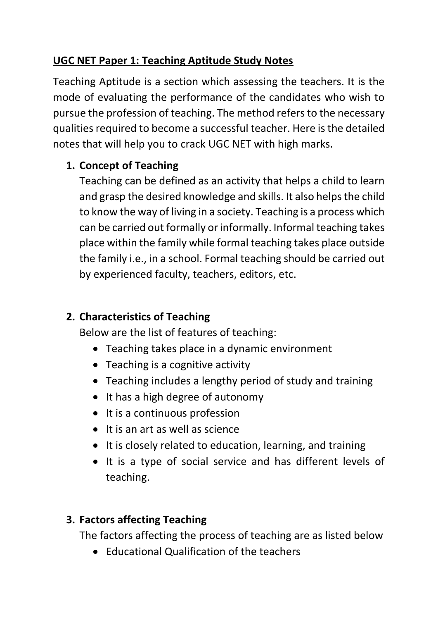# **UGC NET Paper 1: Teaching Aptitude Study Notes**

Teaching Aptitude is a section which assessing the teachers. It is the mode of evaluating the performance of the candidates who wish to pursue the profession of teaching. The method refers to the necessary qualities required to become a successful teacher. Here is the detailed notes that will help you to crack UGC NET with high marks.

## **1. Concept of Teaching**

Teaching can be defined as an activity that helps a child to learn and grasp the desired knowledge and skills. It also helps the child to know the way of living in a society. Teaching is a process which can be carried out formally or informally. Informal teaching takes place within the family while formal teaching takes place outside the family i.e., in a school. Formal teaching should be carried out by experienced faculty, teachers, editors, etc.

## **2. Characteristics of Teaching**

Below are the list of features of teaching:

- Teaching takes place in a dynamic environment
- Teaching is a cognitive activity
- Teaching includes a lengthy period of study and training
- It has a high degree of autonomy
- It is a continuous profession
- $\bullet$  It is an art as well as science
- It is closely related to education, learning, and training
- It is a type of social service and has different levels of teaching.

# **3. Factors affecting Teaching**

The factors affecting the process of teaching are as listed below

• Educational Qualification of the teachers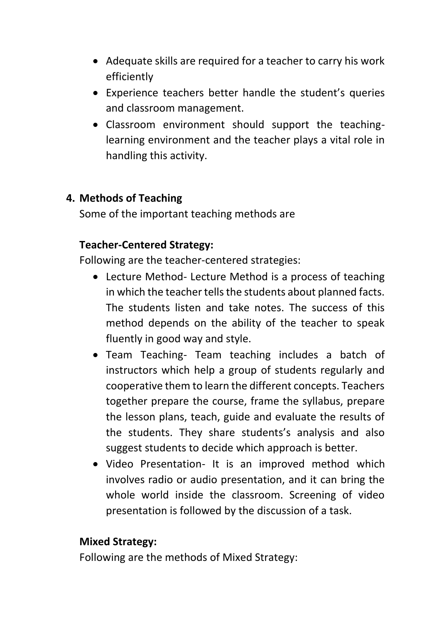- Adequate skills are required for a teacher to carry his work efficiently
- Experience teachers better handle the student's queries and classroom management.
- Classroom environment should support the teachinglearning environment and the teacher plays a vital role in handling this activity.

### **4. Methods of Teaching**

Some of the important teaching methods are

## **Teacher-Centered Strategy:**

Following are the teacher-centered strategies:

- Lecture Method- Lecture Method is a process of teaching in which the teacher tells the students about planned facts. The students listen and take notes. The success of this method depends on the ability of the teacher to speak fluently in good way and style.
- Team Teaching- Team teaching includes a batch of instructors which help a group of students regularly and cooperative them to learn the different concepts. Teachers together prepare the course, frame the syllabus, prepare the lesson plans, teach, guide and evaluate the results of the students. They share students's analysis and also suggest students to decide which approach is better.
- Video Presentation- It is an improved method which involves radio or audio presentation, and it can bring the whole world inside the classroom. Screening of video presentation is followed by the discussion of a task.

### **Mixed Strategy:**

Following are the methods of Mixed Strategy: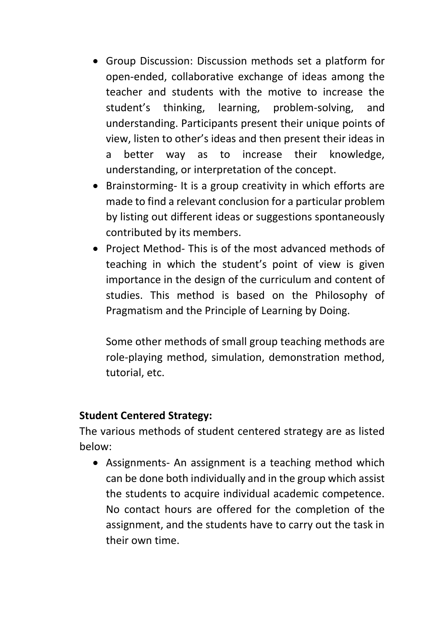- Group Discussion: Discussion methods set a platform for open-ended, collaborative exchange of ideas among the teacher and students with the motive to increase the student's thinking, learning, problem-solving, and understanding. Participants present their unique points of view, listen to other's ideas and then present their ideas in a better way as to increase their knowledge, understanding, or interpretation of the concept.
- Brainstorming- It is a group creativity in which efforts are made to find a relevant conclusion for a particular problem by listing out different ideas or suggestions spontaneously contributed by its members.
- Project Method- This is of the most advanced methods of teaching in which the student's point of view is given importance in the design of the curriculum and content of studies. This method is based on the Philosophy of Pragmatism and the Principle of Learning by Doing.

Some other methods of small group teaching methods are role-playing method, simulation, demonstration method, tutorial, etc.

#### **Student Centered Strategy:**

The various methods of student centered strategy are as listed below:

• Assignments- An assignment is a teaching method which can be done both individually and in the group which assist the students to acquire individual academic competence. No contact hours are offered for the completion of the assignment, and the students have to carry out the task in their own time.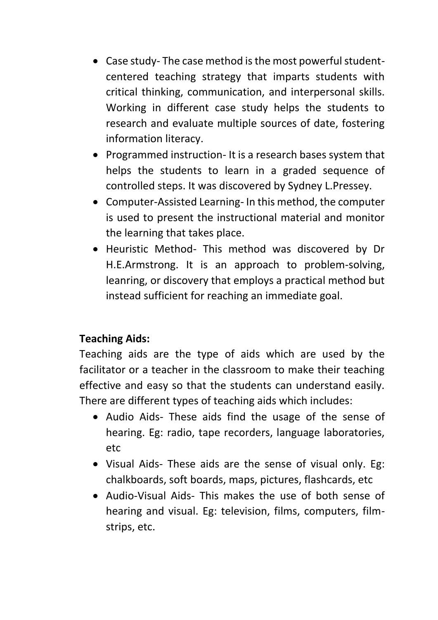- Case study- The case method is the most powerful studentcentered teaching strategy that imparts students with critical thinking, communication, and interpersonal skills. Working in different case study helps the students to research and evaluate multiple sources of date, fostering information literacy.
- Programmed instruction- It is a research bases system that helps the students to learn in a graded sequence of controlled steps. It was discovered by Sydney L.Pressey.
- Computer-Assisted Learning- In this method, the computer is used to present the instructional material and monitor the learning that takes place.
- Heuristic Method- This method was discovered by Dr H.E.Armstrong. It is an approach to problem-solving, leanring, or discovery that employs a practical method but instead sufficient for reaching an immediate goal.

## **Teaching Aids:**

Teaching aids are the type of aids which are used by the facilitator or a teacher in the classroom to make their teaching effective and easy so that the students can understand easily. There are different types of teaching aids which includes:

- Audio Aids- These aids find the usage of the sense of hearing. Eg: radio, tape recorders, language laboratories, etc
- Visual Aids- These aids are the sense of visual only. Eg: chalkboards, soft boards, maps, pictures, flashcards, etc
- Audio-Visual Aids- This makes the use of both sense of hearing and visual. Eg: television, films, computers, filmstrips, etc.